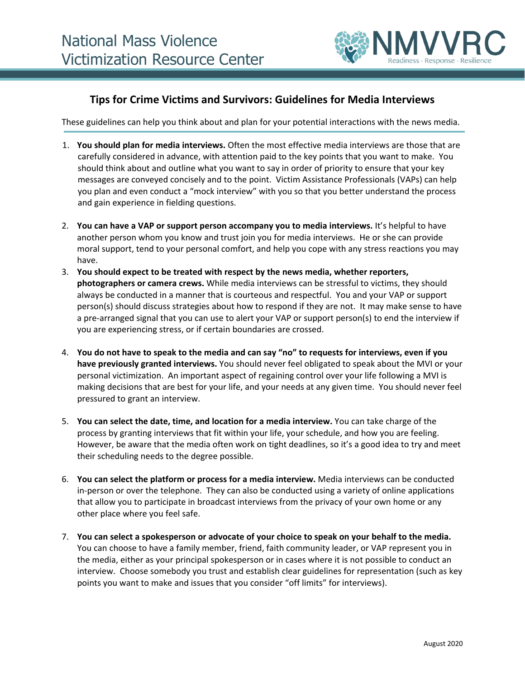

## **Tips for Crime Victims and Survivors: Guidelines for Media Interviews**

These guidelines can help you think about and plan for your potential interactions with the news media.

- 1. **You should plan for media interviews.** Often the most effective media interviews are those that are carefully considered in advance, with attention paid to the key points that you want to make. You should think about and outline what you want to say in order of priority to ensure that your key messages are conveyed concisely and to the point. Victim Assistance Professionals (VAPs) can help you plan and even conduct a "mock interview" with you so that you better understand the process and gain experience in fielding questions.
- 2. **You can have a VAP or support person accompany you to media interviews.** It's helpful to have another person whom you know and trust join you for media interviews. He or she can provide moral support, tend to your personal comfort, and help you cope with any stress reactions you may have.
- 3. **You should expect to be treated with respect by the news media, whether reporters, photographers or camera crews.** While media interviews can be stressful to victims, they should always be conducted in a manner that is courteous and respectful. You and your VAP or support person(s) should discuss strategies about how to respond if they are not. It may make sense to have a pre-arranged signal that you can use to alert your VAP or support person(s) to end the interview if you are experiencing stress, or if certain boundaries are crossed.
- 4. **You do not have to speak to the media and can say "no" to requests for interviews, even if you have previously granted interviews.** You should never feel obligated to speak about the MVI or your personal victimization. An important aspect of regaining control over your life following a MVI is making decisions that are best for your life, and your needs at any given time. You should never feel pressured to grant an interview.
- 5. **You can select the date, time, and location for a media interview.** You can take charge of the process by granting interviews that fit within your life, your schedule, and how you are feeling. However, be aware that the media often work on tight deadlines, so it's a good idea to try and meet their scheduling needs to the degree possible.
- 6. **You can select the platform or process for a media interview.** Media interviews can be conducted in-person or over the telephone. They can also be conducted using a variety of online applications that allow you to participate in broadcast interviews from the privacy of your own home or any other place where you feel safe.
- 7. **You can select a spokesperson or advocate of your choice to speak on your behalf to the media.**  You can choose to have a family member, friend, faith community leader, or VAP represent you in the media, either as your principal spokesperson or in cases where it is not possible to conduct an interview. Choose somebody you trust and establish clear guidelines for representation (such as key points you want to make and issues that you consider "off limits" for interviews).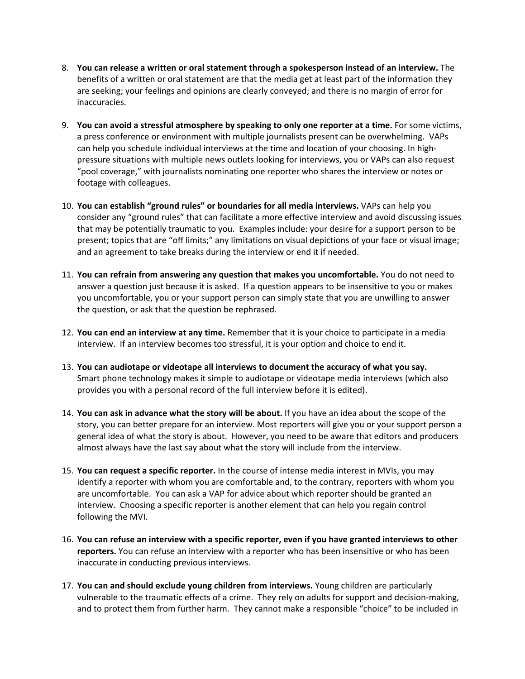- 8. **You can release a written or oral statement through a spokesperson instead of an interview.** The benefits of a written or oral statement are that the media get at least part of the information they are seeking; your feelings and opinions are clearly conveyed; and there is no margin of error for inaccuracies.
- 9. **You can avoid a stressful atmosphere by speaking to only one reporter at a time.** For some victims, a press conference or environment with multiple journalists present can be overwhelming. VAPs can help you schedule individual interviews at the time and location of your choosing. In highpressure situations with multiple news outlets looking for interviews, you or VAPs can also request "pool coverage," with journalists nominating one reporter who shares the interview or notes or footage with colleagues.
- 10. **You can establish "ground rules" or boundaries for all media interviews.** VAPs can help you consider any "ground rules" that can facilitate a more effective interview and avoid discussing issues that may be potentially traumatic to you. Examples include: your desire for a support person to be present; topics that are "off limits;" any limitations on visual depictions of your face or visual image; and an agreement to take breaks during the interview or end it if needed.
- 11. **You can refrain from answering any question that makes you uncomfortable.** You do not need to answer a question just because it is asked. If a question appears to be insensitive to you or makes you uncomfortable, you or your support person can simply state that you are unwilling to answer the question, or ask that the question be rephrased.
- 12. **You can end an interview at any time.** Remember that it is your choice to participate in a media interview. If an interview becomes too stressful, it is your option and choice to end it.
- 13. **You can audiotape or videotape all interviews to document the accuracy of what you say.** Smart phone technology makes it simple to audiotape or videotape media interviews (which also provides you with a personal record of the full interview before it is edited).
- 14. **You can ask in advance what the story will be about.** If you have an idea about the scope of the story, you can better prepare for an interview. Most reporters will give you or your support person a general idea of what the story is about. However, you need to be aware that editors and producers almost always have the last say about what the story will include from the interview.
- 15. **You can request a specific reporter.** In the course of intense media interest in MVIs, you may identify a reporter with whom you are comfortable and, to the contrary, reporters with whom you are uncomfortable. You can ask a VAP for advice about which reporter should be granted an interview. Choosing a specific reporter is another element that can help you regain control following the MVI.
- 16. **You can refuse an interview with a specific reporter, even if you have granted interviews to other reporters.** You can refuse an interview with a reporter who has been insensitive or who has been inaccurate in conducting previous interviews.
- 17. **You can and should exclude young children from interviews.** Young children are particularly vulnerable to the traumatic effects of a crime. They rely on adults for support and decision-making, and to protect them from further harm. They cannot make a responsible "choice" to be included in